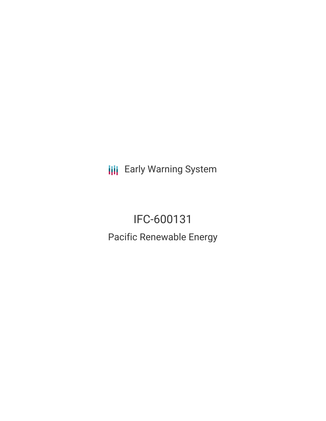**III** Early Warning System

# IFC-600131 Pacific Renewable Energy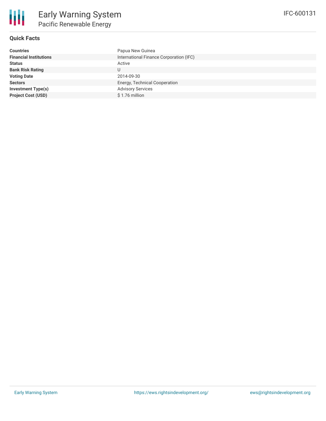

### **Quick Facts**

| <b>Countries</b>              | Papua New Guinea                        |
|-------------------------------|-----------------------------------------|
| <b>Financial Institutions</b> | International Finance Corporation (IFC) |
| <b>Status</b>                 | Active                                  |
| <b>Bank Risk Rating</b>       |                                         |
| <b>Voting Date</b>            | 2014-09-30                              |
| <b>Sectors</b>                | Energy, Technical Cooperation           |
| <b>Investment Type(s)</b>     | <b>Advisory Services</b>                |
| <b>Project Cost (USD)</b>     | $$1.76$ million                         |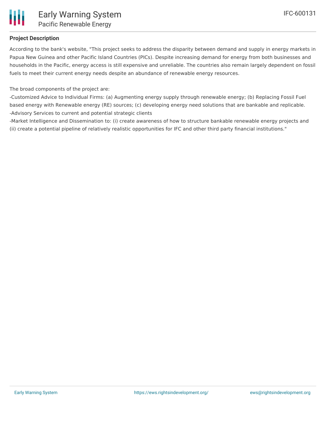

#### **Project Description**

According to the bank's website, "This project seeks to address the disparity between demand and supply in energy markets in Papua New Guinea and other Pacific Island Countries (PICs). Despite increasing demand for energy from both businesses and households in the Pacific, energy access is still expensive and unreliable. The countries also remain largely dependent on fossil fuels to meet their current energy needs despite an abundance of renewable energy resources.

The broad components of the project are:

-Customized Advice to Individual Firms: (a) Augmenting energy supply through renewable energy; (b) Replacing Fossil Fuel based energy with Renewable energy (RE) sources; (c) developing energy need solutions that are bankable and replicable. -Advisory Services to current and potential strategic clients

-Market Intelligence and Dissemination to: (i) create awareness of how to structure bankable renewable energy projects and (ii) create a potential pipeline of relatively realistic opportunities for IFC and other third party financial institutions."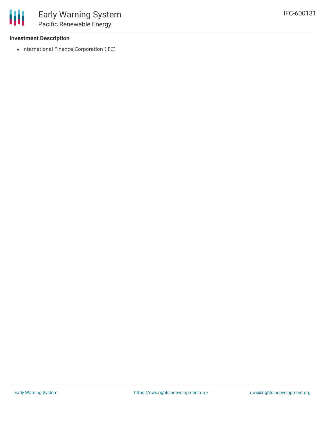#### **Investment Description**

冊

• International Finance Corporation (IFC)